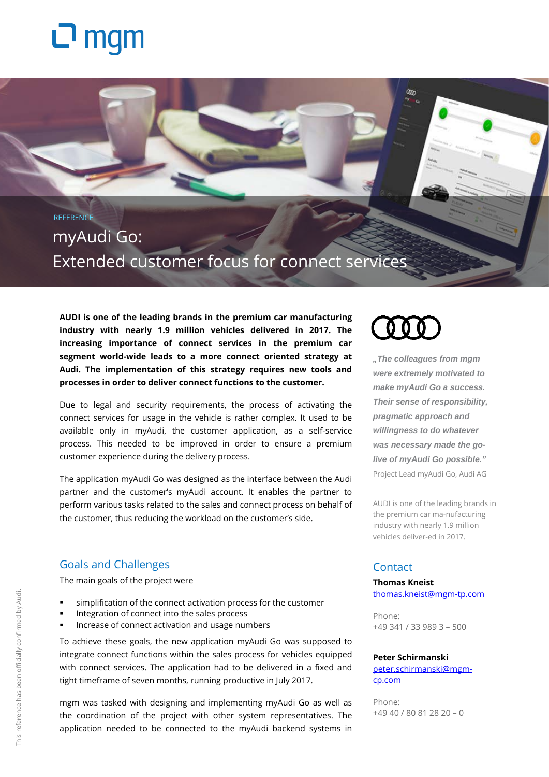# <u>ロ mgm</u>

#### **REFERENCE**

# myAudi Go: Extended customer focus for connect services

**AUDI is one of the leading brands in the premium car manufacturing industry with nearly 1.9 million vehicles delivered in 2017. The increasing importance of connect services in the premium car segment world-wide leads to a more connect oriented strategy at Audi. The implementation of this strategy requires new tools and processes in order to deliver connect functions to the customer.**

Due to legal and security requirements, the process of activating the connect services for usage in the vehicle is rather complex. It used to be available only in myAudi, the customer application, as a self-service process. This needed to be improved in order to ensure a premium customer experience during the delivery process.

The application myAudi Go was designed as the interface between the Audi partner and the customer's myAudi account. It enables the partner to perform various tasks related to the sales and connect process on behalf of the customer, thus reducing the workload on the customer's side.

#### Goals and Challenges

The main goals of the project were

- simplification of the connect activation process for the customer
- Integration of connect into the sales process
- Increase of connect activation and usage numbers

To achieve these goals, the new application myAudi Go was supposed to integrate connect functions within the sales process for vehicles equipped with connect services. The application had to be delivered in a fixed and tight timeframe of seven months, running productive in July 2017.

mgm was tasked with designing and implementing myAudi Go as well as the coordination of the project with other system representatives. The application needed to be connected to the myAudi backend systems in



**Com** 

*"The colleagues from mgm were extremely motivated to make myAudi Go a success. Their sense of responsibility, pragmatic approach and willingness to do whatever was necessary made the golive of myAudi Go possible."*  Project Lead myAudi Go, Audi AG

AUDI is one of the leading brands in the premium car ma-nufacturing industry with nearly 1.9 million vehicles deliver-ed in 2017.

#### **Contact**

**Thomas Kneist** [thomas.kneist@mgm-tp.com](mailto:thomas.kneist@mgm-tp.com)

Phone: +49 341 / 33 989 3 – 500

#### **Peter Schirmanski**

[peter.schirmanski@mgm](mailto:peter.schirmanski@mgm-cp.com)[cp.com](mailto:peter.schirmanski@mgm-cp.com)

Phone: +49 40 / 80 81 28 20 – 0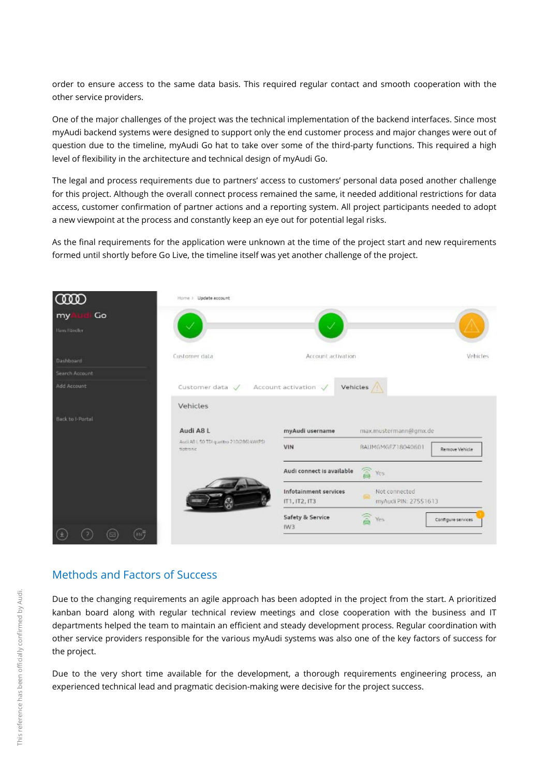order to ensure access to the same data basis. This required regular contact and smooth cooperation with the other service providers.

One of the major challenges of the project was the technical implementation of the backend interfaces. Since most myAudi backend systems were designed to support only the end customer process and major changes were out of question due to the timeline, myAudi Go hat to take over some of the third-party functions. This required a high level of flexibility in the architecture and technical design of myAudi Go.

The legal and process requirements due to partners' access to customers' personal data posed another challenge for this project. Although the overall connect process remained the same, it needed additional restrictions for data access, customer confirmation of partner actions and a reporting system. All project participants needed to adopt a new viewpoint at the process and constantly keep an eye out for potential legal risks.

As the final requirements for the application were unknown at the time of the project start and new requirements formed until shortly before Go Live, the timeline itself was yet another challenge of the project.



### Methods and Factors of Success

Due to the changing requirements an agile approach has been adopted in the project from the start. A prioritized kanban board along with regular technical review meetings and close cooperation with the business and IT departments helped the team to maintain an efficient and steady development process. Regular coordination with other service providers responsible for the various myAudi systems was also one of the key factors of success for the project.

Due to the very short time available for the development, a thorough requirements engineering process, an experienced technical lead and pragmatic decision-making were decisive for the project success.